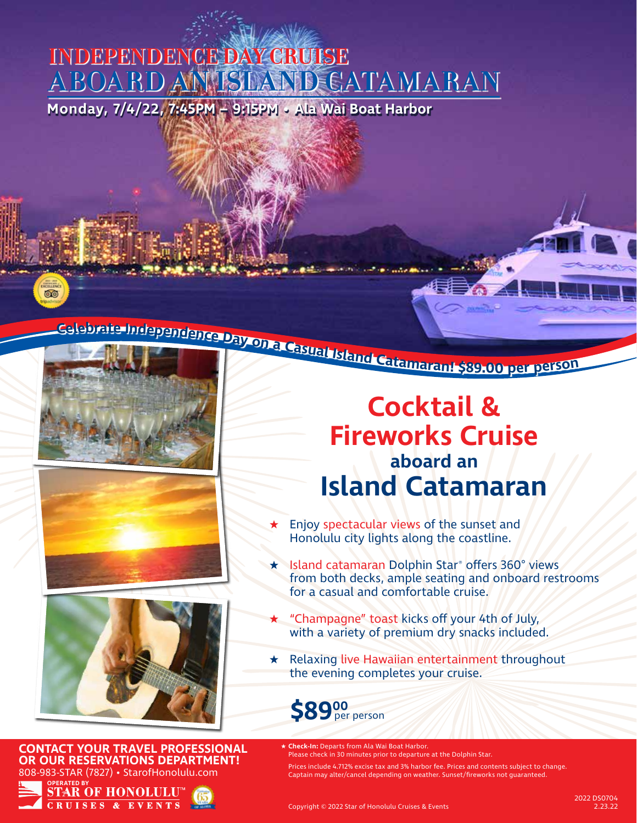## **Monday, 7/4/22, 7:45PM – 9:15PM • Ala Wai Boat Harbor INDEPENDENCE DAY CRUISE ABOARD AN ISLAND CATAMARAN**

ண்







**CONTACT YOUR TRAVEL PROFESSIONAL OR OUR RESERVATIONS DEPARTMENT!** 808-983-STAR (7827) • StarofHonolulu.com



# **Cocktail & Fireworks Cruise aboard an Island Catamaran**

- Enjoy spectacular views of the sunset and Honolulu city lights along the coastline.
- Island catamaran Dolphin Star® offers 360° views from both decks, ample seating and onboard restrooms for a casual and comfortable cruise.
- ★ "Champagne" toast kicks off your 4th of July, with a variety of premium dry snacks included.
- ★ Relaxing live Hawaiian entertainment throughout the evening completes your cruise.



- **Check-In:** Departs from Ala Wai Boat Harbor. Please check in 30 minutes prior to departure at the Dolphin Star.
	- Prices include 4.712% excise tax and 3% harbor fee. Prices and contents subject to change. Captain may alter/cancel depending on weather. Sunset/fireworks not guaranteed.